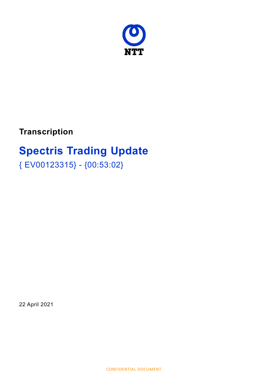

**Transcription** 

# Spectris Trading Update

{ EV00123315} - {00:53:02}

22 April 2021

CONFIDENTIAL DOCUMENT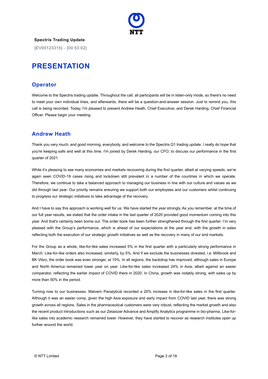

{EV00123315} - {00:53:02}

## **PRESENTATION**

#### **Operator**

Welcome to the Spectris trading update. Throughout the call, all participants will be in listen-only mode, so there's no need to meet your own individual lines, and afterwards, there will be a question-and-answer session. Just to remind you, this call is being recorded. Today, I'm pleased to present Andrew Heath, Chief Executive; and Derek Harding, Chief Financial Officer. Please begin your meeting.

## Andrew Heath

Thank you very much, and good morning, everybody, and welcome to the Spectris Q1 trading update. I really do hope that you're keeping safe and well at this time. I'm joined by Derek Harding, our CFO, to discuss our performance in the first quarter of 2021.

While it's pleasing to see many economies and markets recovering during the first quarter, albeit at varying speeds, we're again seen COVID-19 cases rising and lockdown still prevalent in a number of the countries in which we operate. Therefore, we continue to take a balanced approach to managing our business in line with our culture and values as we did through last year. Our priority remains ensuring we support both our employees and our customers whilst continuing to progress our strategic initiatives to take advantage of the recovery.

And I have to say this approach is working well for us. We have started the year strongly. As you remember, at the time of our full year results, we stated that the order intake in the last quarter of 2020 provided good momentum coming into this year. And that's certainly been borne out. The order book has been further strengthened through the first quarter. I'm very pleased with the Group's performance, which is ahead of our expectations at the year end, with the growth in sales reflecting both the execution of our strategic growth initiatives as well as the recovery in many of our end markets.

For the Group as a whole, like-for-like sales increased 5% in the first quarter with a particularly strong performance in March. Like-for-like orders also increased, similarly, by 5%. And if we exclude the businesses divested, i.e. Millbrook and BK Vibro, the order book was even stronger, at 10%. In all regions, the backdrop has improved, although sales in Europe and North America remained lower year on year. Like-for-like sales increased 24% in Asia, albeit against an easier comparator, reflecting the earlier impact of COVID there in 2020. In China, growth was notably strong, with sales up by more than 50% in the period.

Turning now to our businesses. Malvern Panalytical recorded a 20% increase in like-for-like sales in the first quarter. Although it was an easier comp, given the high Asia exposure and early impact from COVID last year, there was strong growth across all regions. Sales in the pharmaceutical customers were very robust, reflecting the market growth and also the recent product introductions such as our Zetasizer Advance and Amplify Analytics programme in bio-pharma. Like-forlike sales into academic research remained lower. However, they have started to recover as research institutes open up further around the world.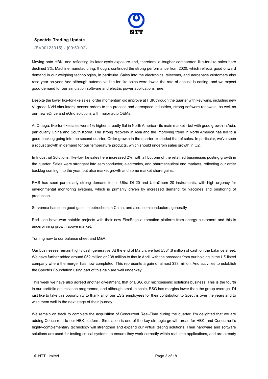

{EV00123315} - {00:53:02}

Moving onto HBK, and reflecting its later cycle exposure and, therefore, a tougher comparator, like-for-like sales here declined 3%. Machine manufacturing, though, continued the strong performance from 2020, which reflects good onward demand in our weighing technologies, in particular. Sales into the electronics, telecoms, and aerospace customers also rose year on year. And although automotive like-for-like sales were lower, the rate of decline is easing, and we expect good demand for our simulation software and electric power applications here.

Despite the lower like-for-like sales, order momentum did improve at HBK through the quarter with key wins, including new VI-grade NVH-simulators, sensor orders to the process and aerospace industries, strong software renewals, as well as our new eDrive and eGrid solutions with major auto OEMs.

At Omega, like-for-like sales were 1% higher, broadly flat in North America - its main market - but with good growth in Asia, particularly China and South Korea. The strong recovery in Asia and the improving trend in North America has led to a good backlog going into the second quarter. Order growth in the quarter exceeded that of sales. In particular, we've seen a robust growth in demand for our temperature products, which should underpin sales growth in Q2.

In Industrial Solutions, like-for-like sales here increased 2%, with all but one of the retained businesses posting growth in the quarter. Sales were strongest into semiconductor, electronics, and pharmaceutical end markets, reflecting our order backlog coming into the year, but also market growth and some market share gains.

PMS has seen particularly strong demand for its Ultra DI 20 and UltraChem 20 instruments, with high urgency for environmental monitoring systems, which is primarily driven by increased demand for vaccines and onshoring of production.

Servomex has seen good gains in petrochem in China, and also, semiconductors, generally.

Red Lion have won notable projects with their new FlexEdge automation platform from energy customers and this is underpinning growth above market.

Turning now to our balance sheet and M&A.

Our businesses remain highly cash generative. At the end of March, we had £334.8 million of cash on the balance sheet. We have further added around \$52 million or £38 million to that in April, with the proceeds from our holding in the US listed company where the merger has now completed. This represents a gain of almost \$33 million. And activities to establish the Spectris Foundation using part of this gain are well underway.

This week we have also agreed another divestment, that of ESG, our microseismic solutions business. This is the fourth in our portfolio optimisation programme, and although small in scale, ESG has margins lower than the group average. I'd just like to take this opportunity to thank all of our ESG employees for their contribution to Spectris over the years and to wish them well in the next stage of their journey.

We remain on track to complete the acquisition of Concurrent Real-Time during the quarter. I'm delighted that we are adding Concurrent to our HBK platform. Simulation is one of the key strategic growth areas for HBK, and Concurrent's highly-complementary technology will strengthen and expand our virtual testing solutions. Their hardware and software solutions are used for testing critical systems to ensure they work correctly within real time applications, and are already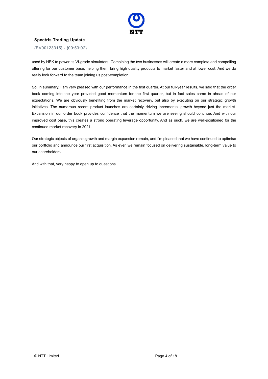

{EV00123315} - {00:53:02}

used by HBK to power its VI-grade simulators. Combining the two businesses will create a more complete and compelling offering for our customer base, helping them bring high quality products to market faster and at lower cost. And we do really look forward to the team joining us post-completion.

So, in summary, I am very pleased with our performance in the first quarter. At our full-year results, we said that the order book coming into the year provided good momentum for the first quarter, but in fact sales came in ahead of our expectations. We are obviously benefiting from the market recovery, but also by executing on our strategic growth initiatives. The numerous recent product launches are certainly driving incremental growth beyond just the market. Expansion in our order book provides confidence that the momentum we are seeing should continue. And with our improved cost base, this creates a strong operating leverage opportunity. And as such, we are well-positioned for the continued market recovery in 2021.

Our strategic objects of organic growth and margin expansion remain, and I'm pleased that we have continued to optimise our portfolio and announce our first acquisition. As ever, we remain focused on delivering sustainable, long-term value to our shareholders.

And with that, very happy to open up to questions.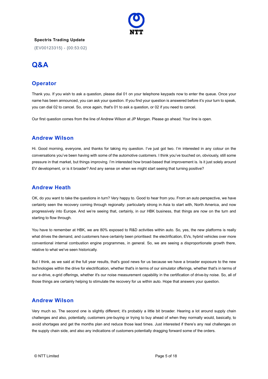

{EV00123315} - {00:53:02}

# Q&A

## **Operator**

Thank you. If you wish to ask a question, please dial 01 on your telephone keypads now to enter the queue. Once your name has been announced, you can ask your question. If you find your question is answered before it's your turn to speak, you can dial 02 to cancel. So, once again, that's 01 to ask a question, or 02 if you need to cancel.

Our first question comes from the line of Andrew Wilson at JP Morgan. Please go ahead. Your line is open.

## Andrew Wilson

Hi. Good morning, everyone, and thanks for taking my question. I've just got two. I'm interested in any colour on the conversations you've been having with some of the automotive customers. I think you've touched on, obviously, still some pressure in that market, but things improving. I'm interested how broad-based that improvement is. Is it just solely around EV development, or is it broader? And any sense on when we might start seeing that turning positive?

## Andrew Heath

OK, do you want to take the questions in turn? Very happy to. Good to hear from you. From an auto perspective, we have certainly seen the recovery coming through regionally: particularly strong in Asia to start with, North America, and now progressively into Europe. And we're seeing that, certainly, in our HBK business, that things are now on the turn and starting to flow through.

You have to remember at HBK, we are 80% exposed to R&D activities within auto. So, yes, the new platforms is really what drives the demand, and customers have certainly been prioritised: the electrification, EVs, hybrid vehicles over more conventional internal combustion engine programmes, in general. So, we are seeing a disproportionate growth there, relative to what we've seen historically.

But I think, as we said at the full year results, that's good news for us because we have a broader exposure to the new technologies within the drive for electrification, whether that's in terms of our simulator offerings, whether that's in terms of our e-drive, e-grid offerings, whether it's our noise measurement capability in the certification of drive-by noise. So, all of those things are certainly helping to stimulate the recovery for us within auto. Hope that answers your question.

## Andrew Wilson

Very much so. The second one is slightly different; it's probably a little bit broader. Hearing a lot around supply chain challenges and also, potentially, customers pre-buying or trying to buy ahead of when they normally would, basically, to avoid shortages and get the months plan and reduce those lead times. Just interested if there's any real challenges on the supply chain side, and also any indications of customers potentially dragging forward some of the orders.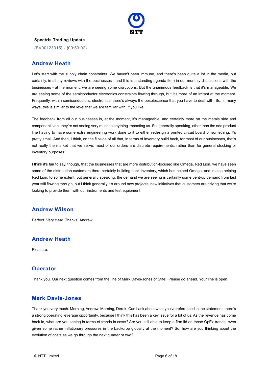

{EV00123315} - {00:53:02}

#### Andrew Heath

Let's start with the supply chain constraints. We haven't been immune, and there's been quite a lot in the media, but certainly, in all my reviews with the businesses - and this is a standing agenda item in our monthly discussions with the businesses - at the moment, we are seeing some disruptions. But the unanimous feedback is that it's manageable. We are seeing some of the semiconductor electronics constraints flowing through, but it's more of an irritant at the moment. Frequently, within semiconductors, electronics, there's always the obsolescence that you have to deal with. So, in many ways, this is similar to the level that we are familiar with, if you like.

The feedback from all our businesses is, at the moment, it's manageable, and certainly more on the metals side and component side, they're not seeing very much to anything impacting us. So, generally speaking, other than the odd product line having to have some extra engineering work done to it to either redesign a printed circuit board or something, it's pretty small. And then, I think, on the flipside of all that, in terms of inventory build back, for most of our businesses, that's not really the market that we serve; most of our orders are discrete requirements, rather than for general stocking or inventory purposes.

I think it's fair to say, though, that the businesses that are more distribution-focused like Omega, Red Lion, we have seen some of the distribution customers there certainly building back inventory, which has helped Omega, and is also helping Red Lion, to some extent, but generally speaking, the demand we are seeing is certainly some pent-up demand from last year still flowing through, but I think generally it's around new projects, new initiatives that customers are driving that we're looking to provide them with our instruments and test equipment.

#### Andrew Wilson

Perfect. Very clear. Thanks, Andrew.

#### Andrew Heath

**Pleasure** 

## **Operator**

Thank you. Our next question comes from the line of Mark Davis-Jones of Stifel. Please go ahead. Your line is open.

#### Mark Davis-Jones

Thank you very much. Morning, Andrew. Morning, Derek. Can I ask about what you've referenced in the statement: there's a strong operating leverage opportunity, because I think this has been a key issue for a lot of us. As the revenue has come back in, what are you seeing in terms of trends in costs? Are you still able to keep a firm lid on those OpEx trends, even given some rather inflationary pressures in the backdrop globally at the moment? So, how are you thinking about the evolution of costs as we go through the next quarter or two?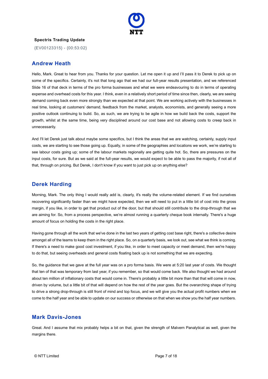

{EV00123315} - {00:53:02}

#### Andrew Heath

Hello, Mark. Great to hear from you. Thanks for your question. Let me open it up and I'll pass it to Derek to pick up on some of the specifics. Certainly, it's not that long ago that we had our full-year results presentation, and we referenced Slide 16 of that deck in terms of the pro forma businesses and what we were endeavouring to do in terms of operating expense and overhead costs for this year. I think, even in a relatively short period of time since then, clearly, we are seeing demand coming back even more strongly than we expected at that point. We are working actively with the businesses in real time, looking at customers' demand, feedback from the market, analysts, economists, and generally seeing a more positive outlook continuing to build. So, as such, we are trying to be agile in how we build back the costs, support the growth, whilst at the same time, being very disciplined around our cost base and not allowing costs to creep back in unnecessarily.

And I'll let Derek just talk about maybe some specifics, but I think the areas that we are watching, certainly, supply input costs, we are starting to see those going up. Equally, in some of the geographies and locations we work, we're starting to see labour costs going up; some of the labour markets regionally are getting quite hot. So, there are pressures on the input costs, for sure. But as we said at the full-year results, we would expect to be able to pass the majority, if not all of that, through on pricing. But Derek, I don't know if you want to just pick up on anything else?

#### Derek Harding

Morning, Mark. The only thing I would really add is, clearly, it's really the volume-related element. If we find ourselves recovering significantly faster than we might have expected, then we will need to put in a little bit of cost into the gross margin, if you like, in order to get that product out of the door, but that should still contribute to the drop-through that we are aiming for. So, from a process perspective, we're almost running a quarterly cheque book internally. There's a huge amount of focus on holding the costs in the right place.

Having gone through all the work that we've done in the last two years of getting cost base right, there's a collective desire amongst all of the teams to keep them in the right place. So, on a quarterly basis, we look out, see what we think is coming. If there's a need to make good cost investment, if you like, in order to meet capacity or meet demand, then we're happy to do that, but seeing overheads and general costs floating back up is not something that we are expecting.

So, the guidance that we gave at the full year was on a pro forma basis. We were at 5:20 last year of costs. We thought that ten of that was temporary from last year, if you remember, so that would come back. We also thought we had around about ten million of inflationary costs that would come in. There's probably a little bit more than that that will come in now, driven by volume, but a little bit of that will depend on how the rest of the year goes. But the overarching shape of trying to drive a strong drop-through is still front of mind and top focus, and we will give you the actual profit numbers when we come to the half year and be able to update on our success or otherwise on that when we show you the half year numbers.

#### Mark Davis-Jones

Great. And I assume that mix probably helps a bit on that, given the strength of Malvern Panalytical as well, given the margins there.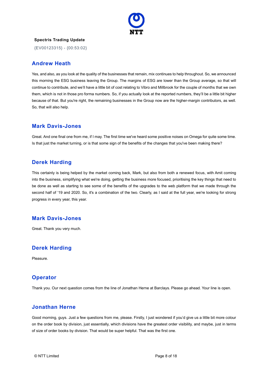

{EV00123315} - {00:53:02}

#### Andrew Heath

Yes, and also, as you look at the quality of the businesses that remain, mix continues to help throughout. So, we announced this morning the ESG business leaving the Group. The margins of ESG are lower than the Group average, so that will continue to contribute, and we'll have a little bit of cost relating to Vibro and Millbrook for the couple of months that we own them, which is not in those pro forma numbers. So, if you actually look at the reported numbers, they'll be a little bit higher because of that. But you're right, the remaining businesses in the Group now are the higher-margin contributors, as well. So, that will also help.

#### Mark Davis-Jones

Great. And one final one from me, if I may. The first time we've heard some positive noises on Omega for quite some time. Is that just the market turning, or is that some sign of the benefits of the changes that you've been making there?

#### Derek Harding

This certainly is being helped by the market coming back, Mark, but also from both a renewed focus, with Amit coming into the business, simplifying what we're doing, getting the business more focused, prioritising the key things that need to be done as well as starting to see some of the benefits of the upgrades to the web platform that we made through the second half of '19 and 2020. So, it's a combination of the two. Clearly, as I said at the full year, we're looking for strong progress in every year, this year.

#### Mark Davis-Jones

Great. Thank you very much.

## Derek Harding

Pleasure.

#### **Operator**

Thank you. Our next question comes from the line of Jonathan Herne at Barclays. Please go ahead. Your line is open.

#### Jonathan Herne

Good morning, guys. Just a few questions from me, please. Firstly, I just wondered if you'd give us a little bit more colour on the order book by division, just essentially, which divisions have the greatest order visibility, and maybe, just in terms of size of order books by division. That would be super helpful. That was the first one.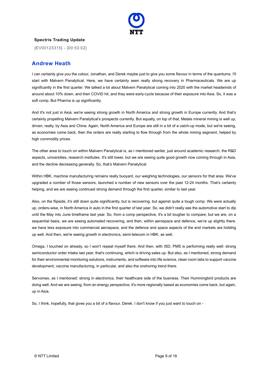

{EV00123315} - {00:53:02}

#### Andrew Heath

I can certainly give you the colour, Jonathan, and Derek maybe just to give you some flavour in terms of the quantums. I'll start with Malvern Panalytical. Here, we have certainly seen really strong recovery in Pharmaceuticals. We are up significantly in the first quarter. We talked a lot about Malvern Panalytical coming into 2020 with the market headwinds of around about 10% down, and then COVID hit, and they were early-cycle because of their exposure into Asia. So, it was a soft comp. But Pharma is up significantly.

And it's not just in Asia; we're seeing strong growth in North America and strong growth in Europe currently. And that's certainly propelling Malvern Panalytical's prospects currently. But equally, on top of that, Metals mineral mining is well up, driven, really, by Asia and China. Again, North America and Europe are still in a bit of a catch-up mode, but we're seeing, as economies come back, then the orders are really starting to flow through from the whole mining segment, helped by high commodity prices.

The other area to touch on within Malvern Panalytical is, as I mentioned earlier, just around academic research, the R&D aspects, universities, research institutes. It's still lower, but we are seeing quite good growth now coming through in Asia, and the decline decreasing generally. So, that's Malvern Panalytical.

Within HBK, machine manufacturing remains really buoyant, our weighing technologies, our sensors for that area. We've upgraded a number of those sensors, launched a number of new sensors over the past 12-24 months. That's certainly helping, and we are seeing continued strong demand through the first quarter, similar to last year.

Also, on the flipside, it's still down quite significantly, but is recovering, but against quite a tough comp. We were actually up, orders-wise, in North America in auto in the first quarter of last year. So, we didn't really see the automotive start to dip until the May into June timeframe last year. So, from a comp perspective, it's a bit tougher to compare, but we are, on a sequential basis, we are seeing automated recovering, and then, within aerospace and defence, we're up slightly there. we have less exposure into commercial aerospace, and the defence and space aspects of the end markets are holding up well. And then, we're seeing growth in electronics, semi-telecom in HBK, as well.

Omega, I touched on already, so I won't repeat myself there. And then, with ISD, PMS is performing really well: strong semiconductor order intake last year; that's continuing, which is driving sales up. But also, as I mentioned, strong demand for their environmental monitoring solutions, instruments, and software into life science, clean room labs to support vaccine development, vaccine manufacturing, in particular, and also the onshoring trend there.

Servomex, as I mentioned: strong in electronics, their healthcare side of the business. Their Hummingbird products are doing well. And we are seeing, from an energy perspective, it's more regionally based as economies come back, but again, up in Asia.

So, I think, hopefully, that gives you a bit of a flavour. Derek. I don't know if you just want to touch on -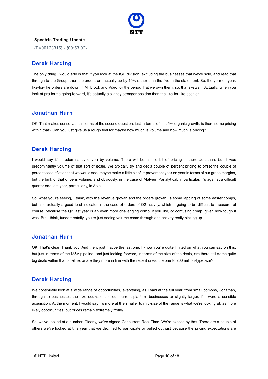

{EV00123315} - {00:53:02}

#### Derek Harding

The only thing I would add is that if you look at the ISD division, excluding the businesses that we've sold, and read that through to the Group, then the orders are actually up by 10% rather than the five in the statement. So, the year on year, like-for-like orders are down in Millbrook and Vibro for the period that we own them; so, that skews it. Actually, when you look at pro forma going forward, it's actually a slightly stronger position than the like-for-like position.

#### Jonathan Hurn

OK. That makes sense. Just in terms of the second question, just in terms of that 5% organic growth, is there some pricing within that? Can you just give us a rough feel for maybe how much is volume and how much is pricing?

#### Derek Harding

I would say it's predominantly driven by volume. There will be a little bit of pricing in there Jonathan, but it was predominantly volume of that sort of scale. We typically try and get a couple of percent pricing to offset the couple of percent cost inflation that we would see, maybe make a little bit of improvement year on year in terms of our gross margins, but the bulk of that drive is volume, and obviously, in the case of Malvern Panalytical, in particular, it's against a difficult quarter one last year, particularly, in Asia.

So, what you're seeing, I think, with the revenue growth and the orders growth, is some lapping of some easier comps, but also actually a good lead indicator in the case of orders of Q2 activity, which is going to be difficult to measure, of course, because the Q2 last year is an even more challenging comp, if you like, or confusing comp, given how tough it was. But I think, fundamentally, you're just seeing volume come through and activity really picking up.

## Jonathan Hurn

OK. That's clear. Thank you. And then, just maybe the last one. I know you're quite limited on what you can say on this, but just in terms of the M&A pipeline, and just looking forward, in terms of the size of the deals, are there still some quite big deals within that pipeline, or are they more in line with the recent ones, the one to 200 million-type size?

## Derek Harding

We continually look at a wide range of opportunities, everything, as I said at the full year, from small bolt-ons, Jonathan, through to businesses the size equivalent to our current platform businesses or slightly larger, if it were a sensible acquisition. At the moment, I would say it's more at the smaller to mid-size of the range is what we're looking at, as more likely opportunities, but prices remain extremely frothy.

So, we've looked at a number. Clearly, we've signed Concurrent Real-Time. We're excited by that. There are a couple of others we've looked at this year that we declined to participate or pulled out just because the pricing expectations are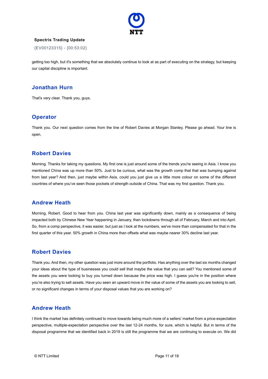

{EV00123315} - {00:53:02}

getting too high, but it's something that we absolutely continue to look at as part of executing on the strategy, but keeping our capital discipline is important.

#### Jonathan Hurn

That's very clear. Thank you, guys.

#### **Operator**

Thank you. Our next question comes from the line of Robert Davies at Morgan Stanley. Please go ahead. Your line is open.

#### Robert Davies

Morning. Thanks for taking my questions. My first one is just around some of the trends you're seeing in Asia. I know you mentioned China was up more than 50%. Just to be curious, what was the growth comp that that was bumping against from last year? And then, just maybe within Asia, could you just give us a little more colour on some of the different countries of where you've seen those pockets of strength outside of China. That was my first question. Thank you.

#### Andrew Heath

Morning, Robert. Good to hear from you. China last year was significantly down, mainly as a consequence of being impacted both by Chinese New Year happening in January, then lockdowns through all of February, March and into April. So, from a comp perspective, it was easier, but just as I look at the numbers, we've more than compensated for that in the first quarter of this year. 50% growth in China more than offsets what was maybe nearer 30% decline last year.

#### Robert Davies

Thank you. And then, my other question was just more around the portfolio. Has anything over the last six months changed your ideas about the type of businesses you could sell that maybe the value that you can sell? You mentioned some of the assets you were looking to buy you turned down because the price was high. I guess you're in the position where you're also trying to sell assets. Have you seen an upward move in the value of some of the assets you are looking to sell, or no significant changes in terms of your disposal values that you are working on?

#### Andrew Heath

I think the market has definitely continued to move towards being much more of a sellers' market from a price-expectation perspective, multiple-expectation perspective over the last 12-24 months, for sure, which is helpful. But in terms of the disposal programme that we identified back in 2019 is still the programme that we are continuing to execute on. We did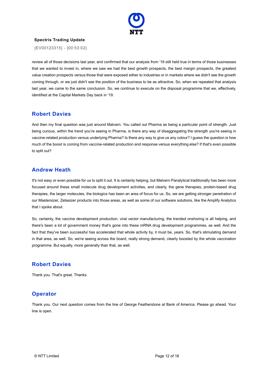

{EV00123315} - {00:53:02}

review all of those decisions last year, and confirmed that our analysis from '19 still held true in terms of those businesses that we wanted to invest in, where we saw we had the best growth prospects, the best margin prospects, the greatest value creation prospects versus those that were exposed either to industries or in markets where we didn't see the growth coming through, or we just didn't see the position of the business to be as attractive. So, when we repeated that analysis last year, we came to the same conclusion. So, we continue to execute on the disposal programme that we, effectively, identified at the Capital Markets Day back in '19.

## Robert Davies

And then my final question was just around Malvern. You called out Pharma as being a particular point of strength. Just being curious, within the trend you're seeing in Pharma, is there any way of disaggregating the strength you're seeing in vaccine-related production versus underlying Pharma? Is there any way to give us any colour? I guess the question is how much of the boost is coming from vaccine-related production and response versus everything else? If that's even possible to split out?

#### Andrew Heath

It's not easy or even possible for us to split it out. It is certainly helping, but Malvern Panalytical traditionally has been more focused around these small molecule drug development activities, and clearly, the gene therapies, protein-based drug therapies, the larger molecules, the biologics has been an area of focus for us. So, we are getting stronger penetration of our Mastersizer, Zetasizer products into those areas, as well as some of our software solutions, like the Amplify Analytics that I spoke about.

So, certainly, the vaccine development production, viral vector manufacturing, the trended onshoring is all helping, and there's been a lot of government money that's gone into these mRNA drug development programmes, as well. And the fact that they've been successful has accelerated that whole activity by, it must be, years. So, that's stimulating demand in that area, as well. So, we're seeing across the board, really strong demand, clearly boosted by the whole vaccination programme. But equally, more generally than that, as well.

## Robert Davies

Thank you. That's great. Thanks.

## **Operator**

Thank you. Our next question comes from the line of George Featherstone at Bank of America. Please go ahead. Your line is open.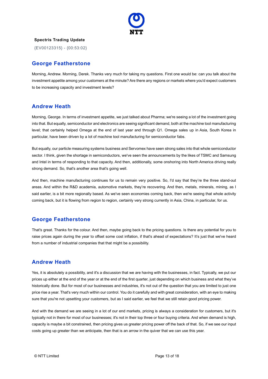

{EV00123315} - {00:53:02}

## George Featherstone

Morning, Andrew. Morning, Derek. Thanks very much for taking my questions. First one would be: can you talk about the investment appetite among your customers at the minute? Are there any regions or markets where you'd expect customers to be increasing capacity and investment levels?

## Andrew Heath

Morning, George. In terms of investment appetite, we just talked about Pharma; we're seeing a lot of the investment going into that. But equally, semiconductor and electronics are seeing significant demand, both at the machine tool manufacturing level; that certainly helped Omega at the end of last year and through Q1. Omega sales up in Asia, South Korea in particular, have been driven by a lot of machine tool manufacturing for semiconductor fabs.

But equally, our particle measuring systems business and Servomex have seen strong sales into that whole semiconductor sector. I think, given the shortage in semiconductors, we've seen the announcements by the likes of TSMC and Samsung and Intel in terms of responding to that capacity. And then, additionally, some onshoring into North America driving really strong demand. So, that's another area that's going well.

And then, machine manufacturing continues for us to remain very positive. So, I'd say that they're the three stand-out areas. And within the R&D academia, automotive markets, they're recovering. And then, metals, minerals, mining, as I said earlier, is a bit more regionally based. As we've seen economies coming back, then we're seeing that whole activity coming back, but it is flowing from region to region, certainly very strong currently in Asia, China, in particular, for us.

## George Featherstone

That's great. Thanks for the colour. And then, maybe going back to the pricing questions. Is there any potential for you to raise prices again during the year to offset some cost inflation, if that's ahead of expectations? It's just that we've heard from a number of industrial companies that that might be a possibility.

## Andrew Heath

Yes, it is absolutely a possibility, and it's a discussion that we are having with the businesses, in fact. Typically, we put our prices up either at the end of the year or at the end of the first quarter, just depending on which business and what they've historically done. But for most of our businesses and industries, it's not out of the question that you are limited to just one price rise a year. That's very much within our control. You do it carefully and with great consideration, with an eye to making sure that you're not upsetting your customers, but as I said earlier, we feel that we still retain good pricing power.

And with the demand we are seeing in a lot of our end markets, pricing is always a consideration for customers, but it's typically not in there for most of our businesses; it's not in their top three or four buying criteria. And when demand is high, capacity is maybe a bit constrained, then pricing gives us greater pricing power off the back of that. So, if we see our input costs going up greater than we anticipate, then that is an arrow in the quiver that we can use this year.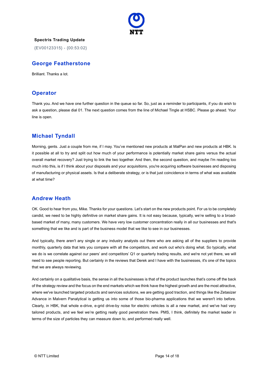

{EV00123315} - {00:53:02}

#### George Featherstone

Brilliant. Thanks a lot.

#### **Operator**

Thank you. And we have one further question in the queue so far. So, just as a reminder to participants, if you do wish to ask a question, please dial 01. The next question comes from the line of Michael Tingle at HSBC. Please go ahead. Your line is open.

## Michael Tyndall

Morning, gents. Just a couple from me, if I may. You've mentioned new products at MalPan and new products at HBK. Is it possible at all to try and split out how much of your performance is potentially market share gains versus the actual overall market recovery? Just trying to link the two together. And then, the second question, and maybe I'm reading too much into this, is if I think about your disposals and your acquisitions, you're acquiring software businesses and disposing of manufacturing or physical assets. Is that a deliberate strategy, or is that just coincidence in terms of what was available at what time?

## Andrew Heath

OK. Good to hear from you, Mike. Thanks for your questions. Let's start on the new products point. For us to be completely candid, we need to be highly definitive on market share gains. It is not easy because, typically, we're selling to a broadbased market of many, many customers. We have very low customer concentration really in all our businesses and that's something that we like and is part of the business model that we like to see in our businesses.

And typically, there aren't any single or any industry analysts out there who are asking all of the suppliers to provide monthly, quarterly data that lets you compare with all the competitors, and work out who's doing what. So typically, what we do is we correlate against our peers' and competitors' Q1 or quarterly trading results, and we're not yet there, we will need to see people reporting. But certainly in the reviews that Derek and I have with the businesses, it's one of the topics that we are always reviewing.

And certainly on a qualitative basis, the sense in all the businesses is that of the product launches that's come off the back of the strategy review and the focus on the end markets which we think have the highest growth and are the most attractive, where we've launched targeted products and services solutions, we are getting good traction, and things like the Zetasizer Advance in Malvern Panalytical is getting us into some of those bio-pharma applications that we weren't into before. Clearly, in HBK, that whole e-drive, e-grid drive-by noise for electric vehicles is all a new market, and we've had very tailored products, and we feel we're getting really good penetration there. PMS, I think, definitely the market leader in terms of the size of particles they can measure down to, and performed really well.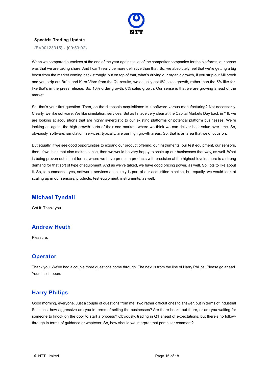

{EV00123315} - {00:53:02}

When we compared ourselves at the end of the year against a lot of the competitor companies for the platforms, our sense was that we are taking share. And I can't really be more definitive than that. So, we absolutely feel that we're getting a big boost from the market coming back strongly, but on top of that, what's driving our organic growth, if you strip out Millbrook and you strip out Brüel and Kjær Vibro from the Q1 results, we actually got 6% sales growth, rather than the 5% like-forlike that's in the press release. So, 10% order growth, 6% sales growth. Our sense is that we are growing ahead of the market.

So, that's your first question. Then, on the disposals acquisitions: is it software versus manufacturing? Not necessarily. Clearly, we like software. We like simulation, services. But as I made very clear at the Capital Markets Day back in '19, we are looking at acquisitions that are highly synergistic to our existing platforms or potential platform businesses. We're looking at, again, the high growth parts of their end markets where we think we can deliver best value over time. So, obviously, software, simulation, services, typically, are our high growth areas. So, that is an area that we'd focus on.

But equally, if we see good opportunities to expand our product offering, our instruments, our test equipment, our sensors, then, if we think that also makes sense, then we would be very happy to scale up our businesses that way, as well. What is being proven out is that for us, where we have premium products with precision at the highest levels, there is a strong demand for that sort of type of equipment. And as we've talked, we have good pricing power, as well. So, lots to like about it. So, to summarise, yes, software, services absolutely is part of our acquisition pipeline, but equally, we would look at scaling up in our sensors, products, test equipment, instruments, as well.

## Michael Tyndall

Got it. Thank you.

## Andrew Heath

Pleasure.

## **Operator**

Thank you. We've had a couple more questions come through. The next is from the line of Harry Philips. Please go ahead. Your line is open.

#### Harry Philips

Good morning, everyone. Just a couple of questions from me. Two rather difficult ones to answer, but in terms of Industrial Solutions, how aggressive are you in terms of selling the businesses? Are there books out there, or are you waiting for someone to knock on the door to start a process? Obviously, trading in Q1 ahead of expectations, but there's no followthrough in terms of guidance or whatever. So, how should we interpret that particular comment?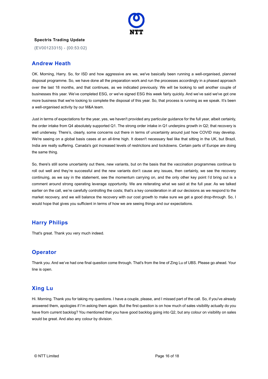

{EV00123315} - {00:53:02}

#### Andrew Heath

OK. Morning, Harry. So, for ISD and how aggressive are we, we've basically been running a well-organised, planned disposal programme. So, we have done all the preparation work and run the processes accordingly in a phased approach over the last 18 months, and that continues, as we indicated previously. We will be looking to sell another couple of businesses this year. We've completed ESG, or we've signed ESG this week fairly quickly. And we've said we've got one more business that we're looking to complete the disposal of this year. So, that process is running as we speak. It's been a well-organised activity by our M&A team.

Just in terms of expectations for the year, yes, we haven't provided any particular guidance for the full year, albeit certainly, the order intake from Q4 absolutely supported Q1. The strong order intake in Q1 underpins growth in Q2; that recovery is well underway. There's, clearly, some concerns out there in terms of uncertainty around just how COVID may develop. We're seeing on a global basis cases at an all-time high. It doesn't necessary feel like that sitting in the UK, but Brazil, India are really suffering. Canada's got increased levels of restrictions and lockdowns. Certain parts of Europe are doing the same thing.

So, there's still some uncertainty out there, new variants, but on the basis that the vaccination programmes continue to roll out well and they're successful and the new variants don't cause any issues, then certainly, we see the recovery continuing, as we say in the statement, see the momentum carrying on, and the only other key point I'd bring out is a comment around strong operating leverage opportunity. We are reiterating what we said at the full year. As we talked earlier on the call, we're carefully controlling the costs; that's a key consideration in all our decisions as we respond to the market recovery, and we will balance the recovery with our cost growth to make sure we get a good drop-through. So, I would hope that gives you sufficient in terms of how we are seeing things and our expectations.

## Harry Philips

That's great. Thank you very much indeed.

## **Operator**

Thank you. And we've had one final question come through. That's from the line of Zing Lu of UBS. Please go ahead. Your line is open.

## Xing Lu

Hi. Morning. Thank you for taking my questions. I have a couple, please, and I missed part of the call. So, if you've already answered them, apologies if I'm asking them again. But the first question is on how much of sales visibility actually do you have from current backlog? You mentioned that you have good backlog going into Q2, but any colour on visibility on sales would be great. And also any colour by division.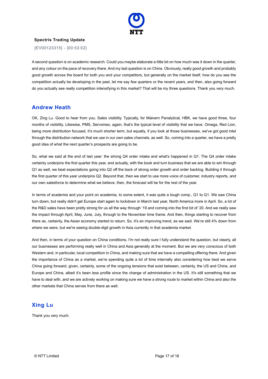

{EV00123315} - {00:53:02}

A second question is on academic research. Could you maybe elaborate a little bit on how much was it down in the quarter, and any colour on the pace of recovery there. And my last question is on China. Obviously, really good growth and probably good growth across the board for both you and your competitors, but generally on the market itself, how do you see the competition actually be developing in the past, let me say few quarters or the recent years, and then, also going forward do you actually see really competition intensifying in this market? That will be my three questions. Thank you very much.

#### Andrew Heath

OK, Zing Lu. Good to hear from you. Sales visibility. Typically, for Malvern Panalytical, HBK, we have good three, four months of visibility. Likewise, PMS, Servomex, again, that's the typical level of visibility that we have. Omega, Red Lion, being more distribution focused, it's much shorter term, but equally, if you look at those businesses, we've got good intel through the distribution network that we use in our own sales channels, as well. So, coming into a quarter, we have a pretty good idea of what the next quarter's prospects are going to be.

So, what we said at the end of last year: the strong Q4 order intake and what's happened in Q1. The Q4 order intake certainly underpins the first quarter this year, and actually, with the book and turn business that we are able to win through Q1 as well, we beat expectations going into Q2 off the back of strong order growth and order backlog. Building it through the first quarter of this year underpins Q2. Beyond that, then we start to use more voice of customer, industry reports, and our own salesforce to determine what we believe, then, the forecast will be for the rest of the year.

In terms of academia and your point on academia, to some extent, it was quite a tough comp., Q1 to Q1. We saw China turn down, but really didn't get Europe start again to lockdown in March last year, North America more in April. So, a lot of the R&D sales have been pretty strong for us all the way through '19 and coming into the first bit of '20. And we really saw the impact through April, May, June, July, through to the November time frame. And then, things starting to recover from there as, certainly, the Asian economy started to return. So, it's an improving trend, as we said. We're still 4% down from where we were, but we're seeing double-digit growth in Asia currently in that academia market.

And then, in terms of your question on China conditions, I'm not really sure I fully understand the question, but clearly, all our businesses are performing really well in China and Asia generally at the moment. But we are very conscious of both Western and, in particular, local competition in China, and making sure that we have a compelling offering there. And given the importance of China as a market, we're spending quite a lot of time internally also considering how best we serve China going forward, given, certainly, some of the ongoing tensions that exist between, certainly, the US and China, and Europe and China, albeit it's been less profile since the change of administration in the US. It's still something that we have to deal with, and we are actively working on making sure we have a strong route to market within China and also the other markets that China serves from there as well.

## Xing Lu

Thank you very much.